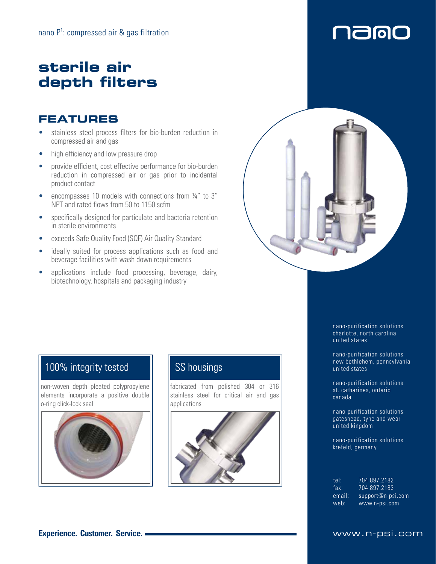# **sterile air depth filters**

## **FEATURES**

- stainless steel process filters for bio-burden reduction in compressed air and gas
- high efficiency and low pressure drop
- provide efficient, cost effective performance for bio-burden reduction in compressed air or gas prior to incidental product contact
- encompasses 10 models with connections from ¼" to 3" NPT and rated flows from 50 to 1150 scfm
- specifically designed for particulate and bacteria retention in sterile environments
- exceeds Safe Quality Food (SQF) Air Quality Standard
- ideally suited for process applications such as food and beverage facilities with wash down requirements
- applications include food processing, beverage, dairy, biotechnology, hospitals and packaging industry



## 100% integrity tested

non-woven depth pleated polypropylene elements incorporate a positive double o-ring click-lock seal



## SS housings

fabricated from polished 304 or 316 stainless steel for critical air and gas applications



nano-purification solutions charlotte, north carolina united states

**1900** 

ſ

nano-purification solutions new bethlehem, pennsylvania united states

nano-purification solutions st. catharines, ontario canada

nano-purification solutions gateshead, tyne and wear united kingdom

nano-purification solutions krefeld, germany

| tel:   | 704 897 2182               |
|--------|----------------------------|
| fax:   | 704.897.2183               |
| email: | $support@n\text{-}psi.com$ |
| web:   | www.n-psi.com              |

### **Experience. Customer. Service. WWW.n-psi.com**